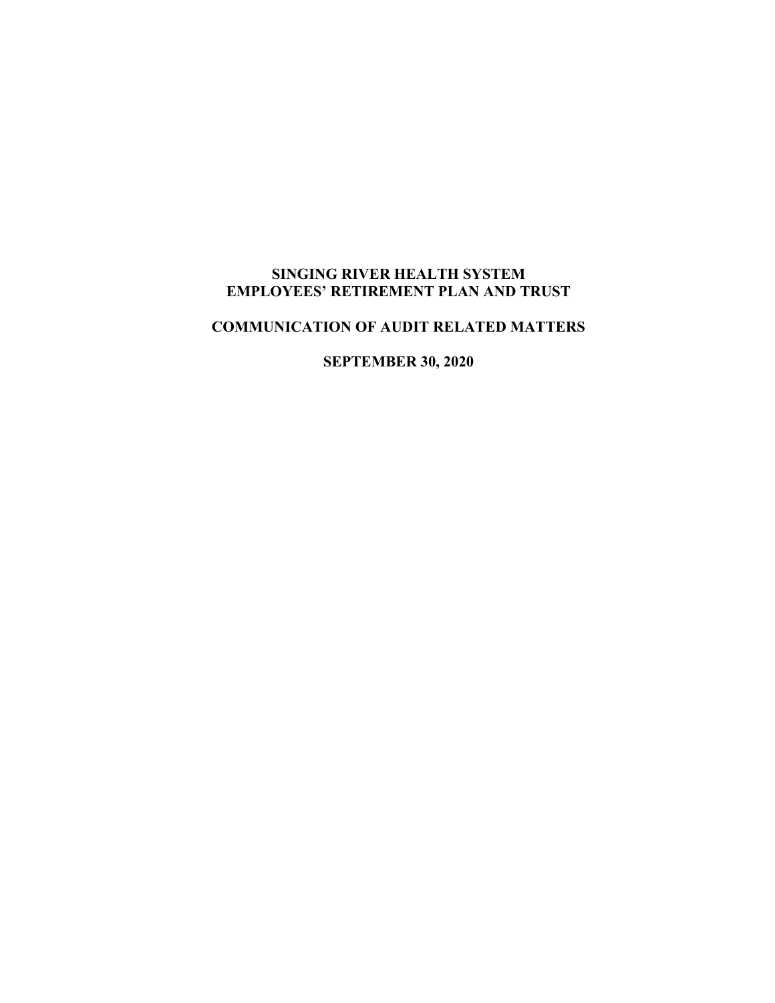# **SINGING RIVER HEALTH SYSTEM EMPLOYEES' RETIREMENT PLAN AND TRUST**

# **COMMUNICATION OF AUDIT RELATED MATTERS**

**SEPTEMBER 30, 2020**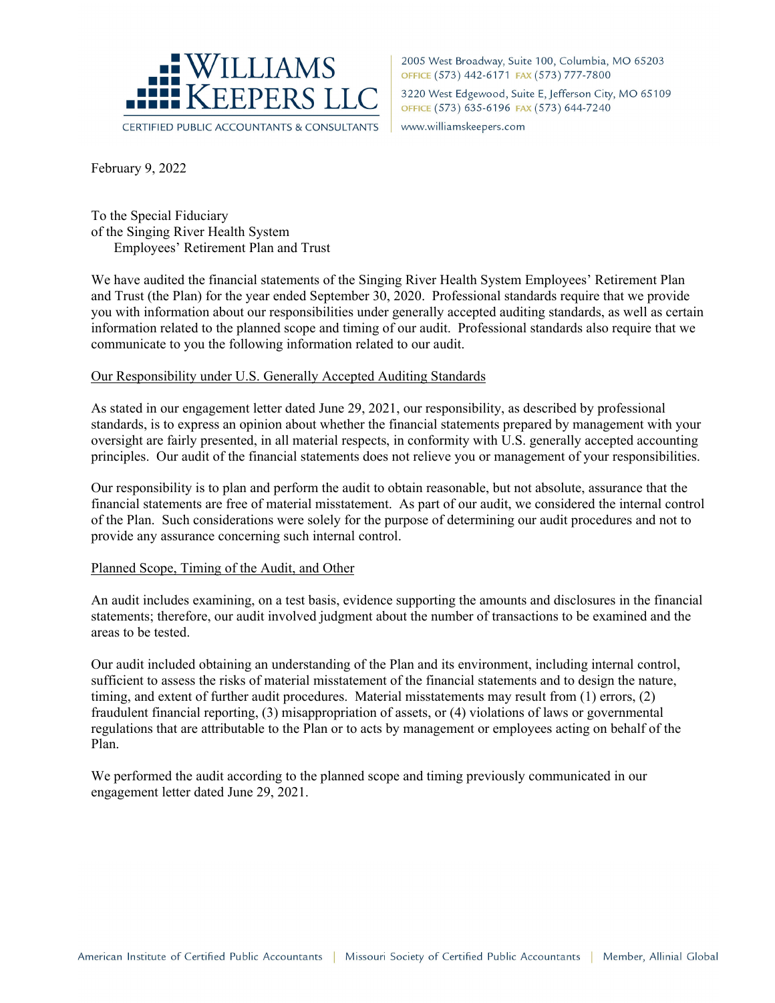

2005 West Broadway, Suite 100, Columbia, MO 65203 OFFICE (573) 442-6171 FAX (573) 777-7800 3220 West Edgewood, Suite E, Jefferson City, MO 65109 OFFICE (573) 635-6196 FAX (573) 644-7240

www.williamskeepers.com

February 9, 2022

To the Special Fiduciary of the Singing River Health System Employees' Retirement Plan and Trust

We have audited the financial statements of the Singing River Health System Employees' Retirement Plan and Trust (the Plan) for the year ended September 30, 2020. Professional standards require that we provide you with information about our responsibilities under generally accepted auditing standards, as well as certain information related to the planned scope and timing of our audit. Professional standards also require that we communicate to you the following information related to our audit.

## Our Responsibility under U.S. Generally Accepted Auditing Standards

As stated in our engagement letter dated June 29, 2021, our responsibility, as described by professional standards, is to express an opinion about whether the financial statements prepared by management with your oversight are fairly presented, in all material respects, in conformity with U.S. generally accepted accounting principles. Our audit of the financial statements does not relieve you or management of your responsibilities.

Our responsibility is to plan and perform the audit to obtain reasonable, but not absolute, assurance that the financial statements are free of material misstatement. As part of our audit, we considered the internal control of the Plan. Such considerations were solely for the purpose of determining our audit procedures and not to provide any assurance concerning such internal control.

## Planned Scope, Timing of the Audit, and Other

An audit includes examining, on a test basis, evidence supporting the amounts and disclosures in the financial statements; therefore, our audit involved judgment about the number of transactions to be examined and the areas to be tested.

Our audit included obtaining an understanding of the Plan and its environment, including internal control, sufficient to assess the risks of material misstatement of the financial statements and to design the nature, timing, and extent of further audit procedures. Material misstatements may result from (1) errors, (2) fraudulent financial reporting, (3) misappropriation of assets, or (4) violations of laws or governmental regulations that are attributable to the Plan or to acts by management or employees acting on behalf of the Plan.

We performed the audit according to the planned scope and timing previously communicated in our engagement letter dated June 29, 2021.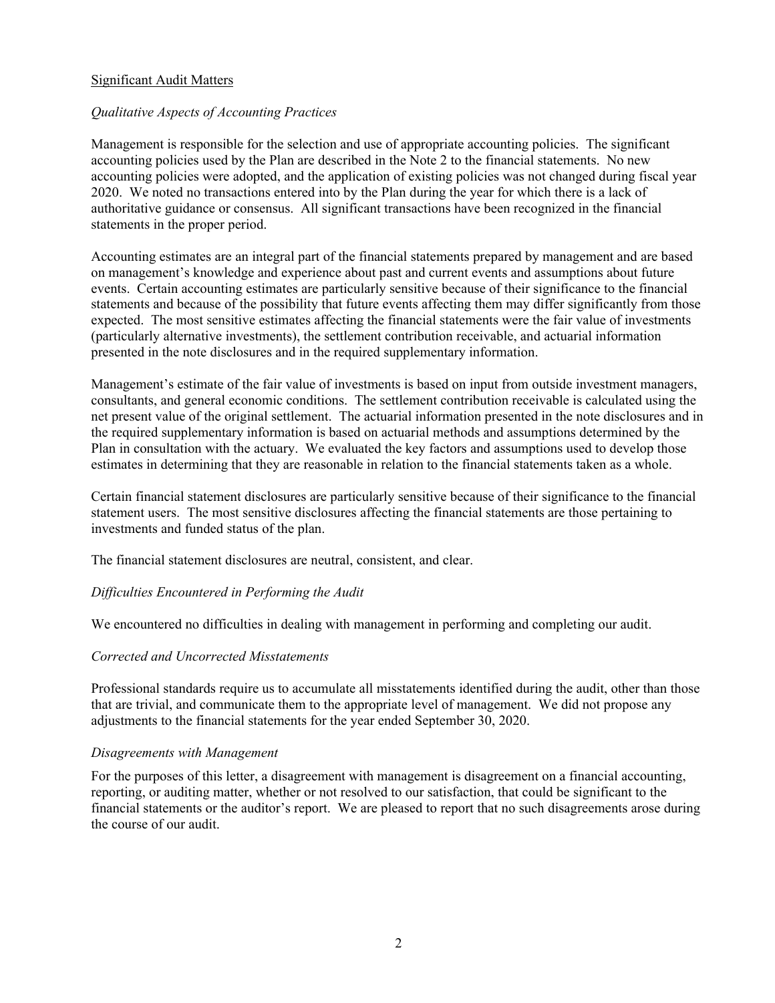# Significant Audit Matters

## *Qualitative Aspects of Accounting Practices*

Management is responsible for the selection and use of appropriate accounting policies. The significant accounting policies used by the Plan are described in the Note 2 to the financial statements. No new accounting policies were adopted, and the application of existing policies was not changed during fiscal year 2020. We noted no transactions entered into by the Plan during the year for which there is a lack of authoritative guidance or consensus. All significant transactions have been recognized in the financial statements in the proper period.

Accounting estimates are an integral part of the financial statements prepared by management and are based on management's knowledge and experience about past and current events and assumptions about future events. Certain accounting estimates are particularly sensitive because of their significance to the financial statements and because of the possibility that future events affecting them may differ significantly from those expected. The most sensitive estimates affecting the financial statements were the fair value of investments (particularly alternative investments), the settlement contribution receivable, and actuarial information presented in the note disclosures and in the required supplementary information.

Management's estimate of the fair value of investments is based on input from outside investment managers, consultants, and general economic conditions. The settlement contribution receivable is calculated using the net present value of the original settlement. The actuarial information presented in the note disclosures and in the required supplementary information is based on actuarial methods and assumptions determined by the Plan in consultation with the actuary. We evaluated the key factors and assumptions used to develop those estimates in determining that they are reasonable in relation to the financial statements taken as a whole.

Certain financial statement disclosures are particularly sensitive because of their significance to the financial statement users. The most sensitive disclosures affecting the financial statements are those pertaining to investments and funded status of the plan.

The financial statement disclosures are neutral, consistent, and clear.

## *Difficulties Encountered in Performing the Audit*

We encountered no difficulties in dealing with management in performing and completing our audit.

#### *Corrected and Uncorrected Misstatements*

Professional standards require us to accumulate all misstatements identified during the audit, other than those that are trivial, and communicate them to the appropriate level of management. We did not propose any adjustments to the financial statements for the year ended September 30, 2020.

#### *Disagreements with Management*

For the purposes of this letter, a disagreement with management is disagreement on a financial accounting, reporting, or auditing matter, whether or not resolved to our satisfaction, that could be significant to the financial statements or the auditor's report. We are pleased to report that no such disagreements arose during the course of our audit.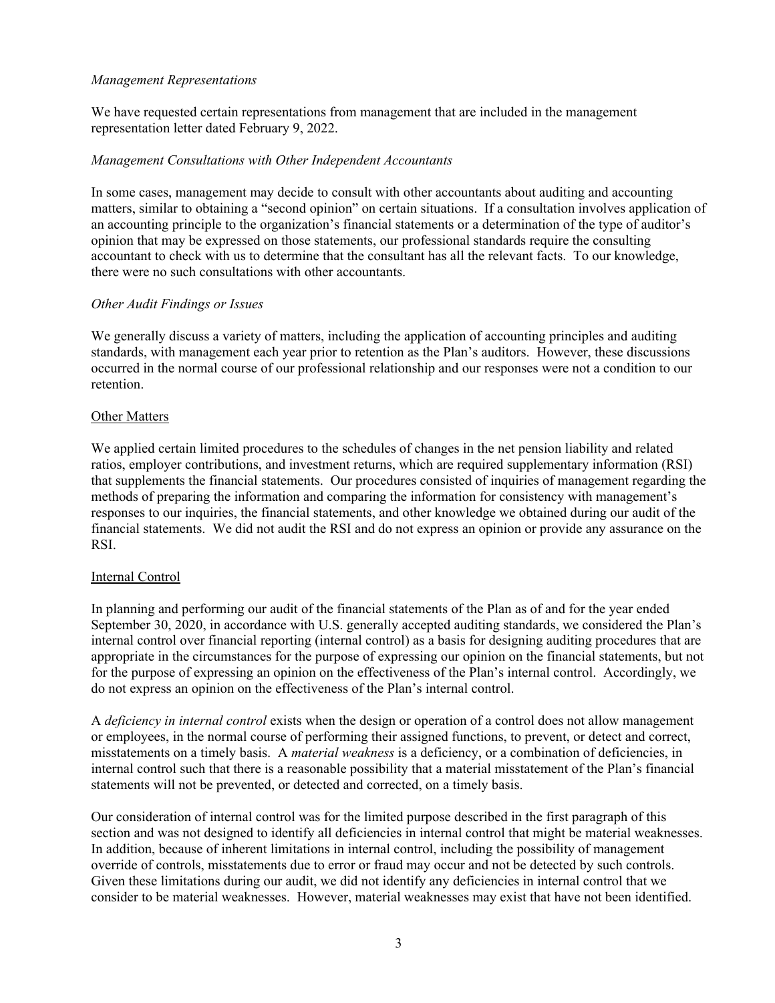## *Management Representations*

We have requested certain representations from management that are included in the management representation letter dated February 9, 2022.

## *Management Consultations with Other Independent Accountants*

In some cases, management may decide to consult with other accountants about auditing and accounting matters, similar to obtaining a "second opinion" on certain situations. If a consultation involves application of an accounting principle to the organization's financial statements or a determination of the type of auditor's opinion that may be expressed on those statements, our professional standards require the consulting accountant to check with us to determine that the consultant has all the relevant facts. To our knowledge, there were no such consultations with other accountants.

## *Other Audit Findings or Issues*

We generally discuss a variety of matters, including the application of accounting principles and auditing standards, with management each year prior to retention as the Plan's auditors. However, these discussions occurred in the normal course of our professional relationship and our responses were not a condition to our retention.

## Other Matters

We applied certain limited procedures to the schedules of changes in the net pension liability and related ratios, employer contributions, and investment returns, which are required supplementary information (RSI) that supplements the financial statements. Our procedures consisted of inquiries of management regarding the methods of preparing the information and comparing the information for consistency with management's responses to our inquiries, the financial statements, and other knowledge we obtained during our audit of the financial statements. We did not audit the RSI and do not express an opinion or provide any assurance on the RSI.

#### Internal Control

In planning and performing our audit of the financial statements of the Plan as of and for the year ended September 30, 2020, in accordance with U.S. generally accepted auditing standards, we considered the Plan's internal control over financial reporting (internal control) as a basis for designing auditing procedures that are appropriate in the circumstances for the purpose of expressing our opinion on the financial statements, but not for the purpose of expressing an opinion on the effectiveness of the Plan's internal control. Accordingly, we do not express an opinion on the effectiveness of the Plan's internal control.

A *deficiency in internal control* exists when the design or operation of a control does not allow management or employees, in the normal course of performing their assigned functions, to prevent, or detect and correct, misstatements on a timely basis. A *material weakness* is a deficiency, or a combination of deficiencies, in internal control such that there is a reasonable possibility that a material misstatement of the Plan's financial statements will not be prevented, or detected and corrected, on a timely basis.

Our consideration of internal control was for the limited purpose described in the first paragraph of this section and was not designed to identify all deficiencies in internal control that might be material weaknesses. In addition, because of inherent limitations in internal control, including the possibility of management override of controls, misstatements due to error or fraud may occur and not be detected by such controls. Given these limitations during our audit, we did not identify any deficiencies in internal control that we consider to be material weaknesses. However, material weaknesses may exist that have not been identified.